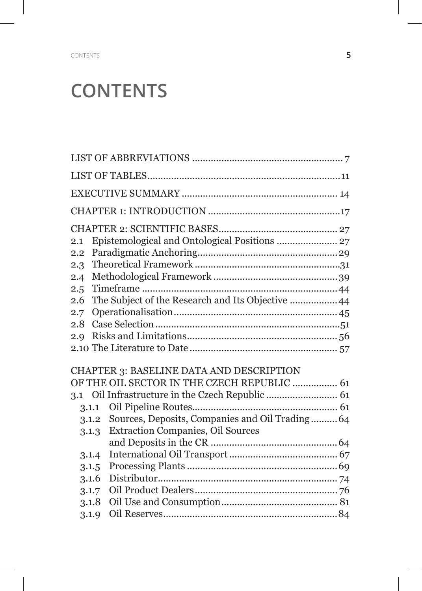## **CONTENTS**

| 2.1   | Epistemological and Ontological Positions  27     |  |
|-------|---------------------------------------------------|--|
| 2.2   |                                                   |  |
| 2.3   |                                                   |  |
| 2.4   |                                                   |  |
| 2.5   |                                                   |  |
| 2.6   | The Subject of the Research and Its Objective  44 |  |
| 2.7   |                                                   |  |
| 2.8   |                                                   |  |
| 2.9   |                                                   |  |
|       |                                                   |  |
|       | CHAPTER 3: BASELINE DATA AND DESCRIPTION          |  |
|       | OF THE OIL SECTOR IN THE CZECH REPUBLIC  61       |  |
| 3.1   |                                                   |  |
| 3.1.1 |                                                   |  |
| 3.1.2 | Sources, Deposits, Companies and Oil Trading 64   |  |
| 3.1.3 | <b>Extraction Companies, Oil Sources</b>          |  |
|       |                                                   |  |
| 3.1.4 |                                                   |  |
| 3.1.5 |                                                   |  |
| 3.1.6 |                                                   |  |
| 3.1.7 |                                                   |  |
| 3.1.8 |                                                   |  |
| 3.1.9 |                                                   |  |